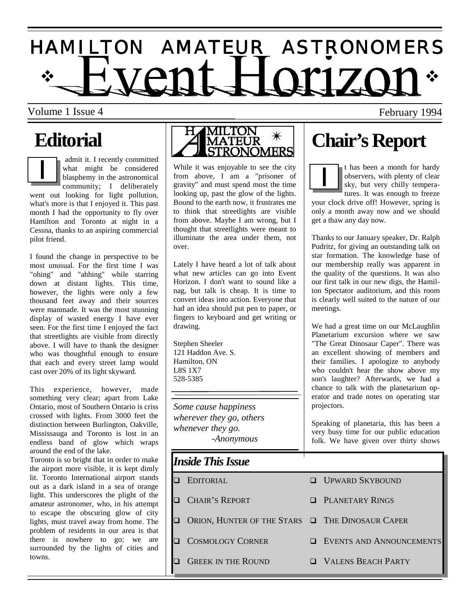# $\dot{\gamma}$  HVANT HOM701  $\dot{\gamma}$ H A M I L T O N A M A T E U R A S T R O N O M E R S

Volume 1 Issue 4 February 1994

admit it. I recently committed what might be considered blasphemy in the astronomical community; I deliberately went out looking for light pollution, what's more is that I enjoyed it. This past month I had the opportunity to fly over Hamilton and Toronto at night in a Cessna, thanks to an aspiring commercial pilot friend.

I found the change in perspective to be most unusual. For the first time I was "ohing" and "ahhing" while starring down at distant lights. This time, however, the lights were only a few thousand feet away and their sources were manmade. It was the most stunning display of wasted energy I have ever seen. For the first time I enjoyed the fact that streetlights are visible from directly above. I will have to thank the designer who was thoughtful enough to ensure that each and every street lamp would cast over 20% of its light skyward.

This experience, however, made something very clear; apart from Lake Ontario, most of Southern Ontario is criss crossed with lights. From 3000 feet the distinction between Burlington, Oakville, Mississauga and Toronto is lost in an endless band of glow which wraps around the end of the lake.

Toronto is so bright that in order to make the airport more visible, it is kept dimly lit. Toronto International airport stands out as a dark island in a sea of orange light. This underscores the plight of the amateur astronomer, who, in his attempt to escape the obscuring glow of city lights, must travel away from home. The problem of residents in our area is that there is nowhere to go; we are surrounded by the lights of cities and towns.



While it was enjoyable to see the city from above, I am a "prisoner of gravity" and must spend most the time looking up, past the glow of the lights. Bound to the earth now, it frustrates me to think that streetlights are visible from above. Maybe I am wrong, but I thought that streetlights were meant to illuminate the area under them, not over.

Lately I have heard a lot of talk about what new articles can go into Event Horizon. I don't want to sound like a nag, but talk is cheap. It is time to convert ideas into action. Everyone that had an idea should put pen to paper, or fingers to keyboard and get writing or drawing.

Stephen Sheeler 121 Haddon Ave. S. Hamilton, ON L8S 1X7 528-5385

*Some cause happiness wherever they go, others whenever they go. -Anonymous*

### *Inside This Issue*

 $\Box$  EDITORIAL  $\Box$  UPWARD SKYBOUND  $\Box$  Chair's Report  $\Box$  PLANETARY RINGS ORION, HUNTER OF THE STARS OF THE DINOSAUR CAPER " COSMOLOGY CORNER " EVENTS AND ANNOUNCEMENTS **Q GREEK IN THE ROUND GREEK IN THE ROUND GREEK IN THE ROUND** 

t has been a month for hardy observers, with plenty of clear sky, but very chilly temperatures. It was enough to freeze

your clock drive off! However, spring is only a month away now and we should get a thaw any day now.

Thanks to our January speaker, Dr. Ralph Pudritz, for giving an outstanding talk on star formation. The knowledge base of our membership really was apparent in the quality of the questions. It was also our first talk in our new digs, the Hamilton Spectator auditorium, and this room is clearly well suited to the nature of our meetings.

We had a great time on our McLaughlin Planetarium excursion where we saw "The Great Dinosaur Caper". There was an excellent showing of members and their families. I apologize to anybody who couldn't hear the show above my son's laughter? Afterwards, we had a chance to talk with the planetarium operator and trade notes on operating star projectors.

Speaking of planetaria, this has been a very busy time for our public education folk. We have given over thirty shows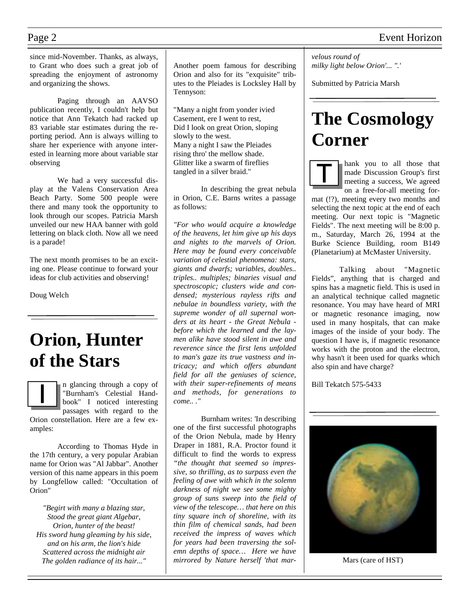since mid-November. Thanks, as always, to Grant who does such a great job of spreading the enjoyment of astronomy and organizing the shows.

 Paging through an AAVSO publication recently, I couldn't help but notice that Ann Tekatch had racked up 83 variable star estimates during the reporting period. Ann is always willing to share her experience with anyone interested in learning more about variable star observing

 We had a very successful display at the Valens Conservation Area Beach Party. Some 500 people were there and many took the opportunity to look through our scopes. Patricia Marsh unveiled our new HAA banner with gold lettering on black cloth. Now all we need is a parade!

The next month promises to be an exciting one. Please continue to forward your ideas for club activities and observing!

Doug Welch

### **Orion, Hunter of the Stars**

n glancing through a copy of "Burnham's Celestial Handbook" I noticed interesting passages with regard to the

Orion constellation. Here are a few examples:

 According to Thomas Hyde in the 17th century, a very popular Arabian name for Orion was "Al Jabbar". Another version of this name appears in this poem by Longfellow called: "Occultation of Orion"

*"Begirt with many a blazing star, Stood the great giant Algebar, Orion, hunter of the beast! His sword hung gleaming by his side, and on his arm, the lion's hide Scattered across the midnight air The golden radiance of its hair..."* 

Another poem famous for describing Orion and also for its "exquisite" tributes to the Pleiades is Locksley Hall by Tennyson:

"Many a night from yonder ivied Casement, ere I went to rest, Did I look on great Orion, sloping slowly to the west. Many a night I saw the Pleiades rising thro' the mellow shade. Glitter like a swarm of fireflies tangled in a silver braid."

 In describing the great nebula in Orion, C.E. Barns writes a passage as follows:

*"For who would acquire a knowledge of the heavens, let him give up his days and nights to the marvels of Orion. Here may be found every conceivable variation of celestial phenomena: stars, giants and dwarfs; variables, doubles.. triples.. multiples; binaries visual and spectroscopic; clusters wide and condensed; mysterious rayless rifts and nebulae in boundless variety, with the supreme wonder of all supernal wonders at its heart - the Great Nebula before which the learned and the laymen alike have stood silent in awe and reverence since the first lens unfolded to man's gaze its true vastness and intricacy; and which offers abundant field for all the geniuses of science, with their super-refinements of means and methods, for generations to come.. ."* 

 Burnham writes: 'In describing one of the first successful photographs of the Orion Nebula, made by Henry Draper in 1881, R.A. Proctor found it difficult to find the words to express *"the thought that seemed so impressive, so thrilling, as to surpass even the feeling of awe with which in the solemn darkness of night we see some mighty group of suns sweep into the field of view of the telescope… that here on this tiny square inch of shoreline, with its thin film of chemical sands, had been received the impress of waves which for years had been traversing the solemn depths of space… Here we have mirrored by Nature herself 'that mar-* *velous round of milky light below Orion'... ".'* 

Submitted by Patricia Marsh

## **The Cosmology Corner**

hank you to all those that made Discussion Group's first meeting a success, We agreed on a free-for-all meeting for-

mat (!?), meeting every two months and selecting the next topic at the end of each meeting. Our next topic is "Magnetic Fields". The next meeting will be 8:00 p. m., Saturday, March 26, 1994 at the Burke Science Building, room B149 (Planetarium) at McMaster University.

 Talking about "Magnetic Fields", anything that is charged and spins has a magnetic field. This is used in an analytical technique called magnetic resonance. You may have heard of MRI or magnetic resonance imaging, now used in many hospitals, that can make images of the inside of your body. The question I have is, if magnetic resonance works with the proton and the electron, why hasn't it been used for quarks which also spin and have charge?

Bill Tekatch 575-5433



Mars (care of HST)

### Page 2 Event Horizon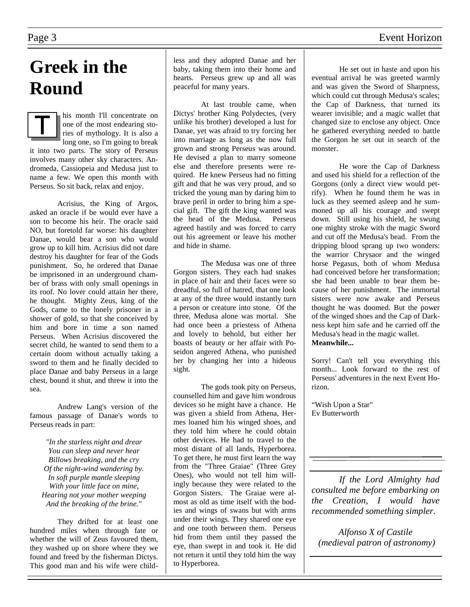### Page 3 Event Horizon

### **Greek in the Round**

his month I'll concentrate on one of the most endearing stories of mythology. It is also a long one, so I'm going to break it into two parts. The story of Perseus involves many other sky characters. Andromeda, Cassiopeia and Medusa just to name a few. We open this month with Perseus. So sit back, relax and enjoy.

 Acrisius, the King of Argos, asked an oracle if be would ever have a son to become his heir. The oracle said NO, but foretold far worse: his daughter Danae, would bear a son who would grow up to kill him. Acrisius did not dare destroy his daughter for fear of the Gods punishment. So, he ordered that Danae be imprisoned in an underground chamber of brass with only small openings in its roof. No lover could attain her there, he thought. Mighty Zeus, king of the Gods, came to the lonely prisoner in a shower of gold, so that she conceived by him and bore in time a son named Perseus. When Acrisius discovered the secret child, he wanted to send them to a certain doom without actually taking a sword to them and he finally decided to place Danae and baby Perseus in a large chest, bound it shut, and threw it into the sea.

 Andrew Lang's version of the famous passage of Danae's words to Perseus reads in part:

*"In the starless night and drear You can sleep and never hear Billows breaking, and the cry Of the night-wind wandering by. In soft purple mantle sleeping With your little face on mine, Hearing not your mother weeping And the breaking of the brine."* 

 They drifted for at least one hundred miles when through fate or whether the will of Zeus favoured them, they washed up on shore where they we found and freed by the fisherman Dictys. This good man and his wife were childless and they adopted Danae and her baby, taking them into their home and hearts. Perseus grew up and all was peaceful for many years.

 At last trouble came, when Dictys' brother King Polydectes, (very unlike his brother) developed a lust for Danae, yet was afraid to try forcing her into marriage as long as the now full grown and strong Perseus was around. He devised a plan to marry someone else and therefore presents were required. He knew Perseus had no fitting gift and that he was very proud, and so tricked the young man by daring him to brave peril in order to bring him a special gift. The gift the king wanted was the head of the Medusa. Perseus agreed hastily and was forced to carry out his agreement or leave his mother and hide in shame.

 The Medusa was one of three Gorgon sisters. They each had snakes in place of hair and their faces were so dreadful, so full of hatred, that one look at any of the three would instantly turn a person or creature into stone. Of the three, Medusa alone was mortal. She had once been a priestess of Athena and lovely to behold, but either her boasts of beauty or her affair with Poseidon angered Athena, who punished her by changing her into a hideous sight.

 The gods took pity on Perseus, counselled him and gave him wondrous devices so he might have a chance. He was given a shield from Athena, Hermes loaned him his winged shoes, and they told him where he could obtain other devices. He had to travel to the most distant of all lands, Hyperborea. To get there, he must first learn the way from the "Three Graiae" (Three Grey Ones), who would not tell him willingly because they were related to the Gorgon Sisters. The Graiae were almost as old as time itself with the bodies and wings of swans but with arms under their wings. They shared one eye and one tooth between them. Perseus hid from them until they passed the eye, than swept in and took it. He did not return it until they told him the way to Hyperborea.

 He set out in haste and upon his eventual arrival he was greeted warmly and was given the Sword of Sharpness, which could cut through Medusa's scales; the Cap of Darkness, that turned its wearer invisible; and a magic wallet that changed size to enclose any object. Once he gathered everything needed to battle the Gorgon he set out in search of the monster.

 He wore the Cap of Darkness and used his shield for a reflection of the Gorgons (only a direct view would petrify). When he found them he was in luck as they seemed asleep and he summoned up all his courage and swept down. Still using his shield, he swung one mighty stroke with the magic Sword and cut off the Medusa's bead. From the dripping blood sprang up two wonders: the warrior Chrysaor and the winged horse Pegasus, both of whom Medusa had conceived before her transformation; she had been unable to bear them because of her punishment. The immortal sisters were now awake and Perseus thought he was doomed. But the power of the winged shoes and the Cap of Darkness kept him safe and he carried off the Medusa's head in the magic wallet. **Meanwhile...** 

Sorry! Can't tell you everything this month... Look forward to the rest of Perseus' adventures in the next Event Horizon.

"Wish Upon a Star" Ev Butterworth

 *If the Lord Almighty had consulted me before embarking on the Creation, I would have recommended something simpler.* 

*Alfonso X of Castile (medieval patron of astronomy)*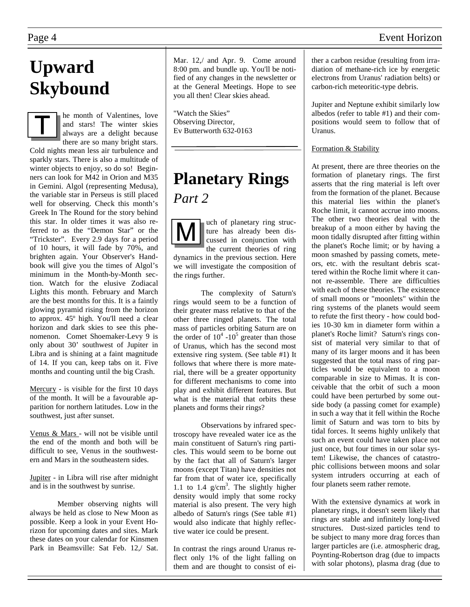### Page 4 Event Horizon

## **Upward Skybound**

he month of Valentines, love and stars! The winter skies always are a delight because there are so many bright stars. Cold nights mean less air turbulence and sparkly stars. There is also a multitude of winter objects to enjoy, so do so! Beginners can look for M42 in Orion and M35 in Gemini. Algol (representing Medusa), the variable star in Perseus is still placed well for observing. Check this month's Greek In The Round for the story behind this star. In older times it was also referred to as the "Demon Star" or the "Trickster". Every 2.9 days for a period of 10 hours, it will fade by 70%, and brighten again. Your Observer's Handbook will give you the times of Algol's minimum in the Month-by-Month section. Watch for the elusive Zodiacal Lights this month. February and March are the best months for this. It is a faintly glowing pyramid rising from the horizon to approx. 45º high. You'll need a clear horizon and dark skies to see this phenomenon. Comet Shoemaker-Levy 9 is only about 30' southwest of Jupiter in Libra and is shining at a faint magnitude of 14. If you can, keep tabs on it. Five months and counting until the big Crash.

Mercury - is visible for the first 10 days of the month. It will be a favourable apparition for northern latitudes. Low in the southwest, just after sunset.

Venus & Mars - will not be visible until the end of the month and both will be difficult to see, Venus in the southwestern and Mars in the southeastern sides.

Jupiter - in Libra will rise after midnight and is in the southwest by sunrise.

 Member observing nights will always be held as close to New Moon as possible. Keep a look in your Event Horizon for upcoming dates and sites. Mark these dates on your calendar for Kinsmen Park in Beamsville: Sat Feb. 12,/ Sat. Mar. 12. and Apr. 9. Come around 8:00 pm. and bundle up. You'll be notified of any changes in the newsletter or at the General Meetings. Hope to see you all then! Clear skies ahead.

"Watch the Skies" Observing Director, Ev Butterworth 632-0163

### **Planetary Rings**  *Part 2*

uch of planetary ring structure has already been discussed in conjunction with the current theories of ring dynamics in the previous section. Here we will investigate the composition of the rings further.

 The complexity of Saturn's rings would seem to be a function of their greater mass relative to that of the other three ringed planets. The total mass of particles orbiting Saturn are on the order of  $10^4$  -10<sup>5</sup> greater than those of Uranus, which has the second most extensive ring system. (See table #1) It follows that where there is more material, there will be a greater opportunity for different mechanisms to come into play and exhibit different features. But what is the material that orbits these planets and forms their rings?

 Observations by infrared spectroscopy have revealed water ice as the main constituent of Saturn's ring particles. This would seem to be borne out by the fact that all of Saturn's larger moons (except Titan) have densities not far from that of water ice, specifically 1.1 to 1.4  $g/cm<sup>3</sup>$ . The slightly higher density would imply that some rocky material is also present. The very high albedo of Saturn's rings (See table #1) would also indicate that highly reflective water ice could be present.

In contrast the rings around Uranus reflect only 1% of the light falling on them and are thought to consist of either a carbon residue (resulting from irradiation of methane-rich ice by energetic electrons from Uranus' radiation belts) or carbon-rich meteoritic-type debris.

Jupiter and Neptune exhibit similarly low albedos (refer to table #1) and their compositions would seem to follow that of Uranus.

#### Formation & Stability

At present, there are three theories on the formation of planetary rings. The first asserts that the ring material is left over from the formation of the planet. Because this material lies within the planet's Roche limit, it cannot accrue into moons. The other two theories deal with the breakup of a moon either by having the moon tidally disrupted after fitting within the planet's Roche limit; or by having a moon smashed by passing comets, meteors, etc. with the resultant debris scattered within the Roche limit where it cannot re-assemble. There are difficulties with each of these theories. The existence of small moons or "moonlets" within the ring systems of the planets would seem to refute the first theory - how could bodies 10-30 km in diameter form within a planet's Roche limit? Saturn's rings consist of material very similar to that of many of its larger moons and it has been suggested that the total mass of ring particles would be equivalent to a moon comparable in size to Mimas. It is conceivable that the orbit of such a moon could have been perturbed by some outside body (a passing comet for example) in such a way that it fell within the Roche limit of Saturn and was torn to bits by tidal forces. It seems highly unlikely that such an event could have taken place not just once, but four times in our solar system! Likewise, the chances of catastrophic collisions between moons and solar system intruders occurring at each of four planets seem rather remote.

With the extensive dynamics at work in planetary rings, it doesn't seem likely that rings are stable and infinitely long-lived structures. Dust-sized particles tend to be subject to many more drag forces than larger particles are (i.e. atmospheric drag, Poynting-Robertson drag (due to impacts with solar photons), plasma drag (due to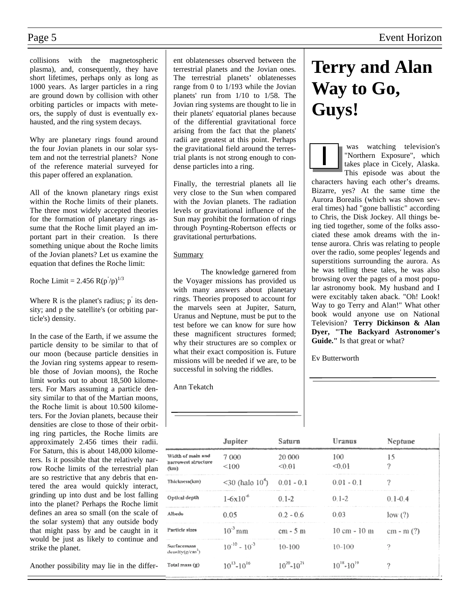collisions with the magnetospheric plasma), and, consequently, they have short lifetimes, perhaps only as long as 1000 years. As larger particles in a ring are ground down by collision with other orbiting particles or impacts with meteors, the supply of dust is eventually exhausted, and the ring system decays.

Why are planetary rings found around the four Jovian planets in our solar system and not the terrestrial planets? None of the reference material surveyed for this paper offered an explanation.

All of the known planetary rings exist within the Roche limits of their planets. The three most widely accepted theories for the formation of planetary rings assume that the Roche limit played an important part in their creation. Is there something unique about the Roche limits of the Jovian planets? Let us examine the equation that defines the Roche limit:

Roche Limit = 2.456  $R(p/p)^{1/3}$ 

Where  $R$  is the planet's radius;  $p'$  its density; and p the satellite's (or orbiting particle's) density.

In the case of the Earth, if we assume the particle density to be similar to that of our moon (because particle densities in the Jovian ring systems appear to resemble those of Jovian moons), the Roche limit works out to about 18,500 kilometers. For Mars assuming a particle density similar to that of the Martian moons, the Roche limit is about 10.500 kilometers. For the Jovian planets, because their densities are close to those of their orbiting ring particles, the Roche limits are approximately 2.456 times their radii. For Saturn, this is about 148,000 kilometers. Is it possible that the relatively narrow Roche limits of the terrestrial plan are so restrictive that any debris that entered the area would quickly interact, grinding up into dust and be lost falling into the planet? Perhaps the Roche limit defines an area so small (on the scale of the solar system) that any outside body that might pass by and be caught in it would be just as likely to continue and strike the planet.

Another possibility may lie in the differ-

ent oblatenesses observed between the terrestrial planets and the Jovian ones. The terrestrial planets' oblatenesses range from 0 to 1/193 while the Jovian planets' run from 1/10 to 1/58. The Jovian ring systems are thought to lie in their planets' equatorial planes because of the differential gravitational force arising from the fact that the planets' radii are greatest at this point. Perhaps the gravitational field around the terrestrial plants is not strong enough to condense particles into a ring.

Finally, the terrestrial planets all lie very close to the Sun when compared with the Jovian planets. The radiation levels or gravitational influence of the Sun may prohibit the formation of rings through Poynting-Robertson effects or gravitational perturbations.

#### Summary

 The knowledge garnered from the Voyager missions has provided us with many answers about planetary rings. Theories proposed to account for the marvels seen at Jupiter, Saturn, Uranus and Neptune, must be put to the test before we can know for sure how these magnificent structures formed; why their structures are so complex or what their exact composition is. Future missions will be needed if we are, to be successful in solving the riddles.

Ann Tekatch

| <b>Terry and Alan</b> |
|-----------------------|
| Way to Go,            |
| Guys!                 |

 was watching television's "Northern Exposure", which takes place in Cicely, Alaska. This episode was about the

characters having each other's dreams. Bizarre, yes? At the same time the Aurora Borealis (which was shown several times) had "gone ballistic" according to Chris, the Disk Jockey. All things being tied together, some of the folks associated these amok dreams with the intense aurora. Chris was relating to people over the radio, some peoples' legends and superstitions surrounding the aurora. As he was telling these tales, he was also browsing over the pages of a most popular astronomy book. My husband and I were excitably taken aback. "Oh! Look! Way to go Terry and Alan!" What other book would anyone use on National Television? **Terry Dickinson & Alan Dyer, "The Backyard Astronomer's Guide."** Is that great or what?

Ev Butterworth

|                                                  | Jupiter                        | Saturn              | <b>Uranus</b>                  | Neptune     |
|--------------------------------------------------|--------------------------------|---------------------|--------------------------------|-------------|
| Width of main and<br>narrowest structure<br>(km) | 7 0 0 0<br>< 100               | 20 000<br>< 0.01    | 100<br>< 0.01                  | 15<br>9     |
| Thickness(km)                                    | $<$ 30 (halo 10 <sup>4</sup> ) | $0.01 - 0.1$        | $0.01 - 0.1$                   | ?           |
| Optical depth                                    | $1-6x10^6$                     | $0.1 - 2$           | $0.1 - 2$                      | $0.1 - 0.4$ |
| Albedo                                           | 0.05                           | $0.2 - 0.6$         | 0.03                           | low(?)      |
| Particle sizes                                   | $10^{-3}$ mm                   | $cm - 5 m$          | $10 \text{ cm} - 10 \text{ m}$ | $cm - m(?)$ |
| Surfacemass<br>density(g/cm <sup>2</sup> )       | $10^{-10} - 10^{-3}$           | $10-100$            | $10-100$                       | 9           |
| Total mass $(g)$                                 | $10^{13} - 10^{16}$            | $10^{20} - 10^{21}$ | $10^{18} - 10^{19}$            | ?           |